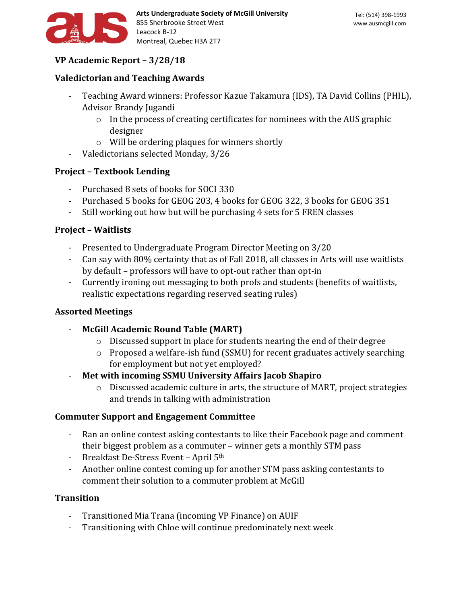

# **VP Academic Report – 3/28/18**

# **Valedictorian and Teaching Awards**

- Teaching Award winners: Professor Kazue Takamura (IDS), TA David Collins (PHIL), Advisor Brandy Jugandi
	- $\circ$  In the process of creating certificates for nominees with the AUS graphic designer
	- o Will be ordering plaques for winners shortly
- Valedictorians selected Monday, 3/26

### **Project – Textbook Lending**

- Purchased 8 sets of books for SOCI 330
- Purchased 5 books for GEOG 203, 4 books for GEOG 322, 3 books for GEOG 351
- Still working out how but will be purchasing 4 sets for 5 FREN classes

### **Project – Waitlists**

- Presented to Undergraduate Program Director Meeting on 3/20
- Can say with 80% certainty that as of Fall 2018, all classes in Arts will use waitlists by default – professors will have to opt-out rather than opt-in
- Currently ironing out messaging to both profs and students (benefits of waitlists, realistic expectations regarding reserved seating rules)

### **Assorted Meetings**

- **McGill Academic Round Table (MART)**
	- o Discussed support in place for students nearing the end of their degree
	- o Proposed a welfare-ish fund (SSMU) for recent graduates actively searching for employment but not yet employed?
- **Met with incoming SSMU University Affairs Jacob Shapiro**
	- o Discussed academic culture in arts, the structure of MART, project strategies and trends in talking with administration

### **Commuter Support and Engagement Committee**

- Ran an online contest asking contestants to like their Facebook page and comment their biggest problem as a commuter – winner gets a monthly STM pass
- Breakfast De-Stress Event April 5th
- Another online contest coming up for another STM pass asking contestants to comment their solution to a commuter problem at McGill

### **Transition**

- Transitioned Mia Trana (incoming VP Finance) on AUIF
- Transitioning with Chloe will continue predominately next week